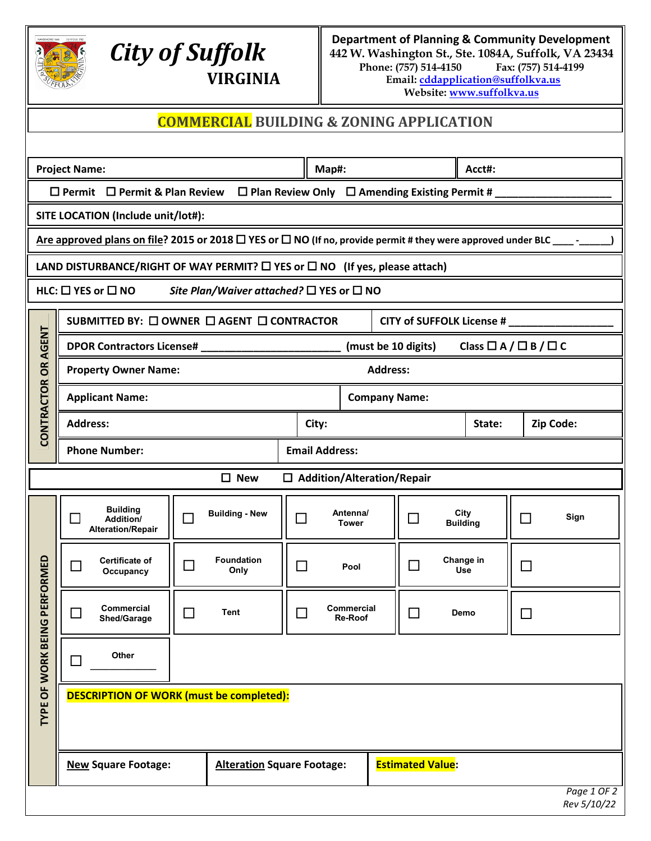

## *City of Suffolk* **VIRGINIA**

**Department of Planning & Community Development 442 W. Washington St., Ste. 1084A, Suffolk, VA 23434** Phone: (757) 514-4150 **Email[: cddapplication@suffolkva.us](mailto:cddapplication@suffolkva.us) Website[: www.suffolkva.us](http://www.suffolkva.us/)**

## **COMMERCIAL BUILDING & ZONING APPLICATION**

|                   | <b>Project Name:</b>                                                                                |                                                          |                       | Map#:                             |                 |                                      | Acct#: |                                  |
|-------------------|-----------------------------------------------------------------------------------------------------|----------------------------------------------------------|-----------------------|-----------------------------------|-----------------|--------------------------------------|--------|----------------------------------|
|                   | $\Box$ Permit $\Box$ Permit & Plan Review $\Box$ Plan Review Only $\Box$ Amending Existing Permit # |                                                          |                       |                                   |                 |                                      |        |                                  |
|                   | SITE LOCATION (Include unit/lot#):                                                                  |                                                          |                       |                                   |                 |                                      |        |                                  |
|                   |                                                                                                     |                                                          |                       |                                   |                 |                                      |        |                                  |
|                   | LAND DISTURBANCE/RIGHT OF WAY PERMIT? $\square$ YES or $\square$ NO (If yes, please attach)         |                                                          |                       |                                   |                 |                                      |        |                                  |
|                   | HLC: $\square$ YES or $\square$ NO                                                                  | Site Plan/Waiver attached? $\Box$ YES or $\Box$ NO       |                       |                                   |                 |                                      |        |                                  |
|                   | SUBMITTED BY: □ OWNER □ AGENT □ CONTRACTOR                                                          |                                                          |                       |                                   |                 | CITY of SUFFOLK License # __________ |        |                                  |
| <b>OR AGENT</b>   | DPOR Contractors License# ______________________                                                    |                                                          |                       |                                   |                 | (must be 10 digits)                  |        | Class $\Box A / \Box B / \Box C$ |
|                   | <b>Property Owner Name:</b>                                                                         |                                                          |                       |                                   | <b>Address:</b> |                                      |        |                                  |
| <b>CONTRACTOR</b> | <b>Applicant Name:</b>                                                                              |                                                          |                       |                                   |                 | <b>Company Name:</b>                 |        |                                  |
|                   | <b>Address:</b>                                                                                     |                                                          | City:                 |                                   |                 |                                      | State: | Zip Code:                        |
|                   | <b>Phone Number:</b>                                                                                |                                                          | <b>Email Address:</b> |                                   |                 |                                      |        |                                  |
|                   |                                                                                                     | $\square$ New                                            |                       | $\Box$ Addition/Alteration/Repair |                 |                                      |        |                                  |
| PERFORMED<br>Ο    | <b>Building</b><br>Addition/<br><b>Alteration/Repair</b>                                            | <b>Building - New</b>                                    | П                     | Antenna/<br><b>Tower</b>          |                 | City<br>$\Box$<br><b>Building</b>    |        | Sign                             |
|                   | <b>Certificate of</b><br>⊔<br>Occupancy                                                             | <b>Foundation</b><br>$\mathcal{L}_{\mathcal{A}}$<br>Only | $\Box$                | Pool                              |                 | Change in<br>$\mathcal{L}$<br>Use    |        |                                  |
|                   | Commercial<br>Shed/Garage                                                                           | Tent<br>$\sim$                                           |                       | Commercial<br><b>Re-Roof</b>      |                 | Demo                                 |        |                                  |
| TYPE OF WORK BEIN | Other<br>П                                                                                          |                                                          |                       |                                   |                 |                                      |        |                                  |
|                   | <b>DESCRIPTION OF WORK (must be completed):</b>                                                     |                                                          |                       |                                   |                 |                                      |        |                                  |
|                   | <b>New Square Footage:</b>                                                                          | <b>Alteration Square Footage:</b>                        |                       |                                   |                 | <b>Estimated Value:</b>              |        |                                  |
|                   |                                                                                                     |                                                          |                       |                                   |                 |                                      |        | Page 1 OF 2<br>Rev 5/10/22       |